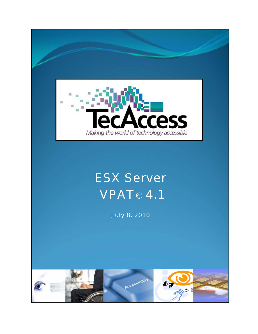

## ESX Server **VPAT© 4.1**

July 8, 2010

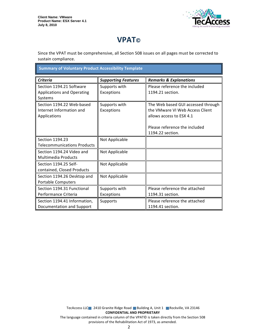

## **VPAT**®

Since the VPAT must be comprehensive, all Section 508 issues on all pages must be corrected to sustain compliance.

**Summary of Voluntary Product Accessibility Template** 

| <b>Criteria</b>                    | <b>Supporting Features</b> | <b>Remarks &amp; Explanations</b>  |  |
|------------------------------------|----------------------------|------------------------------------|--|
| Section 1194.21 Software           | Supports with              | Please reference the included      |  |
| <b>Applications and Operating</b>  | Exceptions                 | 1194.21 section.                   |  |
| Systems                            |                            |                                    |  |
| Section 1194.22 Web-based          | Supports with              | The Web based GUI accessed through |  |
| Internet Information and           | Exceptions                 | the VMware VI Web Access Client    |  |
| Applications                       |                            | allows access to ESX 4.1           |  |
|                                    |                            |                                    |  |
|                                    |                            | Please reference the included      |  |
|                                    |                            | 1194.22 section.                   |  |
| Section 1194.23                    | Not Applicable             |                                    |  |
| <b>Telecommunications Products</b> |                            |                                    |  |
| Section 1194.24 Video and          | Not Applicable             |                                    |  |
| <b>Multimedia Products</b>         |                            |                                    |  |
| Section 1194.25 Self-              | Not Applicable             |                                    |  |
| contained, Closed Products         |                            |                                    |  |
| Section 1194.26 Desktop and        | Not Applicable             |                                    |  |
| <b>Portable Computers</b>          |                            |                                    |  |
| Section 1194.31 Functional         | Supports with              | Please reference the attached      |  |
| Performance Criteria               | Exceptions                 | 1194.31 section.                   |  |
| Section 1194.41 Information,       | Supports                   | Please reference the attached      |  |
| Documentation and Support          |                            | 1194.41 section.                   |  |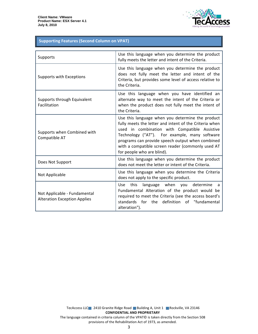

## **Supporting Features (Second Column on VPAT)**

| Supports                                                            | Use this language when you determine the product<br>fully meets the letter and intent of the Criteria.                                                                                                                                                                                                                                              |
|---------------------------------------------------------------------|-----------------------------------------------------------------------------------------------------------------------------------------------------------------------------------------------------------------------------------------------------------------------------------------------------------------------------------------------------|
| Supports with Exceptions                                            | Use this language when you determine the product<br>does not fully meet the letter and intent of the<br>Criteria, but provides some level of access relative to<br>the Criteria.                                                                                                                                                                    |
| Supports through Equivalent<br>Facilitation                         | Use this language when you have identified an<br>alternate way to meet the intent of the Criteria or<br>when the product does not fully meet the intent of<br>the Criteria.                                                                                                                                                                         |
| Supports when Combined with<br>Compatible AT                        | Use this language when you determine the product<br>fully meets the letter and intent of the Criteria when<br>used in combination with Compatible Assistive<br>Technology ("AT"). For example, many software<br>programs can provide speech output when combined<br>with a compatible screen reader (commonly used AT<br>for people who are blind). |
| Does Not Support                                                    | Use this language when you determine the product<br>does not meet the letter or intent of the Criteria.                                                                                                                                                                                                                                             |
| Not Applicable                                                      | Use this language when you determine the Criteria<br>does not apply to the specific product.                                                                                                                                                                                                                                                        |
| Not Applicable - Fundamental<br><b>Alteration Exception Applies</b> | language when you determine<br><b>Use</b><br>this<br>a<br>Fundamental Alteration of the product would be<br>required to meet the Criteria (see the access board's<br>definition of "fundamental<br>standards<br>for the<br>alteration").                                                                                                            |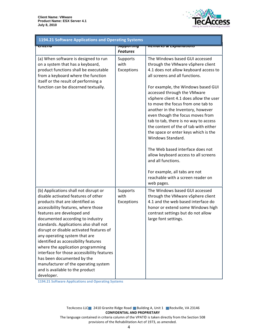

| 1194.21 Software Applications and Operating Systems                                                                                                                                                                                                                                                                                                                                                                                                                                                                                                                                               |                                                   |                                                                                                                                                                                                                                                                                                                                                                                                                                                                                                                                                                                                                                                                                                                  |  |
|---------------------------------------------------------------------------------------------------------------------------------------------------------------------------------------------------------------------------------------------------------------------------------------------------------------------------------------------------------------------------------------------------------------------------------------------------------------------------------------------------------------------------------------------------------------------------------------------------|---------------------------------------------------|------------------------------------------------------------------------------------------------------------------------------------------------------------------------------------------------------------------------------------------------------------------------------------------------------------------------------------------------------------------------------------------------------------------------------------------------------------------------------------------------------------------------------------------------------------------------------------------------------------------------------------------------------------------------------------------------------------------|--|
| पाप्टाप                                                                                                                                                                                                                                                                                                                                                                                                                                                                                                                                                                                           | <del>วนpportmy</del>                              | <del>nemarks &amp; Explanations</del>                                                                                                                                                                                                                                                                                                                                                                                                                                                                                                                                                                                                                                                                            |  |
| (a) When software is designed to run<br>on a system that has a keyboard,<br>product functions shall be executable<br>from a keyboard where the function<br>itself or the result of performing a<br>function can be discerned textually.                                                                                                                                                                                                                                                                                                                                                           | <b>Features</b><br>Supports<br>with<br>Exceptions | The Windows based GUI accessed<br>through the VMware vSphere client<br>4.1 does not allow keyboard access to<br>all screens and all functions.<br>For example, the Windows based GUI<br>accessed through the VMware<br>vSphere client 4.1 does allow the user<br>to move the focus from one tab to<br>another in the Inventory, however<br>even though the focus moves from<br>tab to tab, there is no way to access<br>the content of the of tab with either<br>the space or enter keys which is the<br>Windows Standard.<br>The Web based interface does not<br>allow keyboard access to all screens<br>and all functions.<br>For example, all tabs are not<br>reachable with a screen reader on<br>web pages. |  |
| (b) Applications shall not disrupt or<br>disable activated features of other<br>products that are identified as<br>accessibility features, where those<br>features are developed and<br>documented according to industry<br>standards. Applications also shall not<br>disrupt or disable activated features of<br>any operating system that are<br>identified as accessibility features<br>where the application programming<br>interface for those accessibility features<br>has been documented by the<br>manufacturer of the operating system<br>and is available to the product<br>developer. | Supports<br>with<br>Exceptions                    | The Windows based GUI accessed<br>through the VMware vSphere client<br>4.1 and the web based interface do<br>honor or extend some Windows high<br>contrast settings but do not allow<br>large font settings.                                                                                                                                                                                                                                                                                                                                                                                                                                                                                                     |  |

1194.21 Software Applications and Operating Systems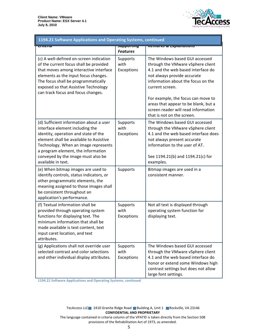

| 1194.21 Software Applications and Operating Systems, continued                                                                                                                                                                                                                                          |                                         |                                                                                                                                                                                                                                                                                                                                                      |  |
|---------------------------------------------------------------------------------------------------------------------------------------------------------------------------------------------------------------------------------------------------------------------------------------------------------|-----------------------------------------|------------------------------------------------------------------------------------------------------------------------------------------------------------------------------------------------------------------------------------------------------------------------------------------------------------------------------------------------------|--|
| पासाप                                                                                                                                                                                                                                                                                                   | <del>วนpportmy</del><br><b>Features</b> | <del>nemurks &amp; Explumations</del>                                                                                                                                                                                                                                                                                                                |  |
| (c) A well-defined on-screen indication<br>of the current focus shall be provided<br>that moves among interactive interface<br>elements as the input focus changes.<br>The focus shall be programmatically<br>exposed so that Assistive Technology<br>can track focus and focus changes.                | Supports<br>with<br>Exceptions          | The Windows based GUI accessed<br>through the VMware vSphere client<br>4.1 and the web based interface do<br>not always provide accurate<br>information about the focus on the<br>current screen.<br>For example, the focus can move to<br>areas that appear to be blank, but a<br>screen reader will read information<br>that is not on the screen. |  |
| (d) Sufficient information about a user<br>interface element including the<br>identity, operation and state of the<br>element shall be available to Assistive<br>Technology. When an image represents<br>a program element, the information<br>conveyed by the image must also be<br>available in text. | Supports<br>with<br>Exceptions          | The Windows based GUI accessed<br>through the VMware vSphere client<br>4.1 and the web based interface does<br>not always present accurate<br>information to the user of AT.<br>See 1194.21(b) and 1194.21(c) for<br>examples.                                                                                                                       |  |
| (e) When bitmap images are used to<br>identify controls, status indicators, or<br>other programmatic elements, the<br>meaning assigned to those images shall<br>be consistent throughout an<br>application's performance.                                                                               | Supports                                | Bitmap images are used in a<br>consistent manner.                                                                                                                                                                                                                                                                                                    |  |
| (f) Textual information shall be<br>provided through operating system<br>functions for displaying text. The<br>minimum information that shall be<br>made available is text content, text<br>input caret location, and text<br>attributes.                                                               | Supports<br>with<br>Exceptions          | Not all text is displayed through<br>operating system function for<br>displaying text.                                                                                                                                                                                                                                                               |  |
| (g) Applications shall not override user<br>selected contrast and color selections<br>and other individual display attributes.                                                                                                                                                                          | Supports<br>with<br>Exceptions          | The Windows based GUI accessed<br>through the VMware vSphere client<br>4.1 and the web based interface do<br>honor or extend some Windows high<br>contrast settings but does not allow<br>large font settings.                                                                                                                                       |  |

1194.21 Software Applications and Operating Systems, continued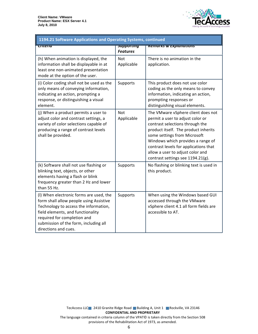

| 1194.21 Software Applications and Operating Systems, continued                                                                                                                                                                                                   |                                          |                                                                                                                                                                                                                                                                                                                                          |  |
|------------------------------------------------------------------------------------------------------------------------------------------------------------------------------------------------------------------------------------------------------------------|------------------------------------------|------------------------------------------------------------------------------------------------------------------------------------------------------------------------------------------------------------------------------------------------------------------------------------------------------------------------------------------|--|
| पााएगाव                                                                                                                                                                                                                                                          | <del>Supporting</del><br><b>Features</b> | <b>Remarks &amp; Explanations</b>                                                                                                                                                                                                                                                                                                        |  |
| (h) When animation is displayed, the<br>information shall be displayable in at<br>least one non-animated presentation<br>mode at the option of the user.                                                                                                         | Not<br>Applicable                        | There is no animation in the<br>application.                                                                                                                                                                                                                                                                                             |  |
| (i) Color coding shall not be used as the<br>only means of conveying information,<br>indicating an action, prompting a<br>response, or distinguishing a visual<br>element.                                                                                       | Supports                                 | This product does not use color<br>coding as the only means to convey<br>information, indicating an action,<br>prompting responses or<br>distinguishing visual elements.                                                                                                                                                                 |  |
| (j) When a product permits a user to<br>adjust color and contrast settings, a<br>variety of color selections capable of<br>producing a range of contrast levels<br>shall be provided.                                                                            | Not<br>Applicable                        | The VMware vSphere client does not<br>permit a user to adjust color or<br>contrast selections through the<br>product itself. The product inherits<br>some settings from Microsoft<br>Windows which provides a range of<br>contrast levels for applications that<br>allow a user to adjust color and<br>contrast settings see 1194.21(g). |  |
| (k) Software shall not use flashing or<br>blinking text, objects, or other<br>elements having a flash or blink<br>frequency greater than 2 Hz and lower<br>than 55 Hz.                                                                                           | Supports                                 | No flashing or blinking text is used in<br>this product.                                                                                                                                                                                                                                                                                 |  |
| (I) When electronic forms are used, the<br>form shall allow people using Assistive<br>Technology to access the information,<br>field elements, and functionality<br>required for completion and<br>submission of the form, including all<br>directions and cues. | Supports                                 | When using the Windows based GUI<br>accessed through the VMware<br>vSphere client 4.1 all form fields are<br>accessible to AT.                                                                                                                                                                                                           |  |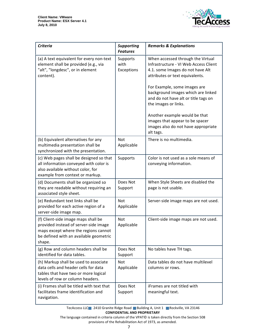

| <b>Criteria</b>                                                                                                                                                          | <b>Supporting</b><br><b>Features</b> | <b>Remarks &amp; Explanations</b>                                                                                                                                                                                                                                                                                                                                                                               |
|--------------------------------------------------------------------------------------------------------------------------------------------------------------------------|--------------------------------------|-----------------------------------------------------------------------------------------------------------------------------------------------------------------------------------------------------------------------------------------------------------------------------------------------------------------------------------------------------------------------------------------------------------------|
| (a) A text equivalent for every non-text<br>element shall be provided (e.g., via<br>"alt", "longdesc", or in element<br>content).                                        | Supports<br>with<br>Exceptions       | When accessed through the Virtual<br>Infrastructure - VI Web Access Client<br>4.1. some Images do not have Alt<br>attributes or text equivalents.<br>For Example, some images are<br>background images which are linked<br>and do not have alt or title tags on<br>the images or links.<br>Another example would be that<br>images that appear to be spacer<br>images also do not have appropriate<br>alt tags. |
| (b) Equivalent alternatives for any<br>multimedia presentation shall be<br>synchronized with the presentation.                                                           | Not<br>Applicable                    | There is no multimedia.                                                                                                                                                                                                                                                                                                                                                                                         |
| (c) Web pages shall be designed so that<br>all information conveyed with color is<br>also available without color, for<br>example from context or markup.                | Supports                             | Color is not used as a sole means of<br>conveying information.                                                                                                                                                                                                                                                                                                                                                  |
| (d) Documents shall be organized so<br>they are readable without requiring an<br>associated style sheet.                                                                 | Does Not<br>Support                  | When Style Sheets are disabled the<br>page is not usable.                                                                                                                                                                                                                                                                                                                                                       |
| (e) Redundant text links shall be<br>provided for each active region of a<br>server-side image map.                                                                      | Not<br>Applicable                    | Server-side image maps are not used.                                                                                                                                                                                                                                                                                                                                                                            |
| (f) Client-side image maps shall be<br>provided instead of server-side image<br>maps except where the regions cannot<br>be defined with an available geometric<br>shape. | Not<br>Applicable                    | Client-side image maps are not used.                                                                                                                                                                                                                                                                                                                                                                            |
| (g) Row and column headers shall be<br>identified for data tables.                                                                                                       | Does Not<br>Support                  | No tables have TH tags.                                                                                                                                                                                                                                                                                                                                                                                         |
| (h) Markup shall be used to associate<br>data cells and header cells for data<br>tables that have two or more logical<br>levels of row or column headers.                | <b>Not</b><br>Applicable             | Data tables do not have multilevel<br>columns or rows.                                                                                                                                                                                                                                                                                                                                                          |
| (i) Frames shall be titled with text that<br>facilitates frame identification and<br>navigation.                                                                         | Does Not<br>Support                  | iFrames are not titled with<br>meaningful text.                                                                                                                                                                                                                                                                                                                                                                 |

TecAccess LLC 2410 Granite Ridge Road Building A, Unit 1 Rockville, VA 23146 **CONFIDENTIAL AND PROPRIETARY** 

The language contained in criteria column of the VPAT© is taken directly from the Section 508 provisions of the Rehabilitation Act of 1973, as amended.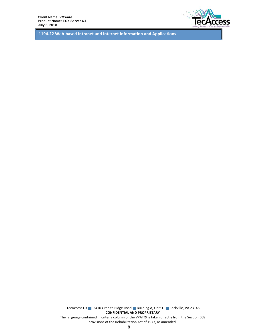

1194.22 Web-based Intranet and Internet Information and Applications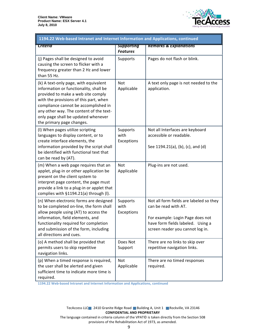

| 1194.22 Web-based Intranet and Internet Information and Applications, continued                                                                                                                                                                                                                                        |                                      |                                                                                                                                                                              |  |
|------------------------------------------------------------------------------------------------------------------------------------------------------------------------------------------------------------------------------------------------------------------------------------------------------------------------|--------------------------------------|------------------------------------------------------------------------------------------------------------------------------------------------------------------------------|--|
| Criteria                                                                                                                                                                                                                                                                                                               | <b>Supporting</b><br><b>Features</b> | <b>Remarks &amp; Explanations</b>                                                                                                                                            |  |
| (j) Pages shall be designed to avoid<br>causing the screen to flicker with a<br>frequency greater than 2 Hz and lower<br>than 55 Hz.                                                                                                                                                                                   | Supports                             | Pages do not flash or blink.                                                                                                                                                 |  |
| (k) A text-only page, with equivalent<br>information or functionality, shall be<br>provided to make a web site comply<br>with the provisions of this part, when<br>compliance cannot be accomplished in<br>any other way. The content of the text-<br>only page shall be updated whenever<br>the primary page changes. | <b>Not</b><br>Applicable             | A text only page is not needed to the<br>application.                                                                                                                        |  |
| (I) When pages utilize scripting<br>languages to display content, or to<br>create interface elements, the<br>information provided by the script shall<br>be identified with functional text that<br>can be read by (AT).                                                                                               | Supports<br>with<br>Exceptions       | Not all Interfaces are keyboard<br>accessible or readable.<br>See 1194.21(a), (b), (c), and (d)                                                                              |  |
| (m) When a web page requires that an<br>applet, plug-in or other application be<br>present on the client system to<br>interpret page content, the page must<br>provide a link to a plug-in or applet that<br>complies with §1194.21(a) through (I).                                                                    | Not<br>Applicable                    | Plug-ins are not used.                                                                                                                                                       |  |
| (n) When electronic forms are designed<br>to be completed on-line, the form shall<br>allow people using (AT) to access the<br>information, field elements, and<br>functionality required for completion<br>and submission of the form, including<br>all directions and cues.                                           | Supports<br>with<br>Exceptions       | Not all form fields are labeled so they<br>can be read with AT.<br>For example: Login Page does not<br>have form fields labeled. Using a<br>screen reader you cannot log in. |  |
| (o) A method shall be provided that<br>permits users to skip repetitive<br>navigation links.                                                                                                                                                                                                                           | Does Not<br>Support                  | There are no links to skip over<br>repetitive navigation links.                                                                                                              |  |
| (p) When a timed response is required,<br>the user shall be alerted and given<br>sufficient time to indicate more time is<br>required.                                                                                                                                                                                 | Not<br>Applicable                    | There are no timed responses<br>required.                                                                                                                                    |  |

1194.22 Web-based Intranet and Internet Information and Applications, continued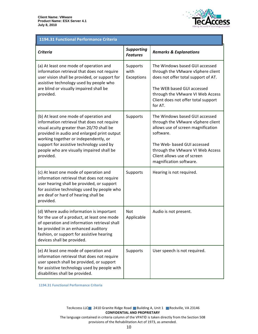

## 1194.31 Functional Performance Criteria

| <b>Criteria</b>                                                                                                                                                                                                                                                                                                                  | <b>Supporting</b><br><b>Features</b> | <b>Remarks &amp; Explanations</b>                                                                                                                                                                                                                   |
|----------------------------------------------------------------------------------------------------------------------------------------------------------------------------------------------------------------------------------------------------------------------------------------------------------------------------------|--------------------------------------|-----------------------------------------------------------------------------------------------------------------------------------------------------------------------------------------------------------------------------------------------------|
| (a) At least one mode of operation and<br>information retrieval that does not require<br>user vision shall be provided, or support for<br>assistive technology used by people who<br>are blind or visually impaired shall be<br>provided.                                                                                        | Supports<br>with<br>Exceptions       | The Windows based GUI accessed<br>through the VMware vSphere client<br>does not offer total support of AT.<br>The WEB based GUI accessed<br>through the VMware VI Web Access<br>Client does not offer total support<br>for AT.                      |
| (b) At least one mode of operation and<br>information retrieval that does not require<br>visual acuity greater than 20/70 shall be<br>provided in audio and enlarged print output<br>working together or independently, or<br>support for assistive technology used by<br>people who are visually impaired shall be<br>provided. | Supports                             | The Windows based GUI accessed<br>through the VMware vSphere client<br>allows use of screen magnification<br>software.<br>The Web- based GUI accessed<br>through the VMware VI Web Access<br>Client allows use of screen<br>magnification software. |
| (c) At least one mode of operation and<br>information retrieval that does not require<br>user hearing shall be provided, or support<br>for assistive technology used by people who<br>are deaf or hard of hearing shall be<br>provided.                                                                                          | Supports                             | Hearing is not required.                                                                                                                                                                                                                            |
| (d) Where audio information is important<br>for the use of a product, at least one mode<br>of operation and information retrieval shall<br>be provided in an enhanced auditory<br>fashion, or support for assistive hearing<br>devices shall be provided.                                                                        | Not<br>Applicable                    | Audio is not present.                                                                                                                                                                                                                               |
| (e) At least one mode of operation and<br>information retrieval that does not require<br>user speech shall be provided, or support<br>for assistive technology used by people with<br>disabilities shall be provided.                                                                                                            | Supports                             | User speech is not required.                                                                                                                                                                                                                        |

1194.31 Functional Performance Criteria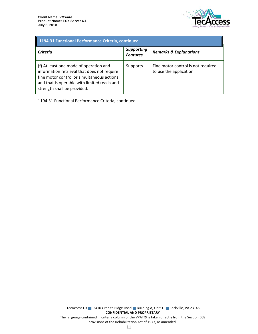

| 1194.31 Functional Performance Criteria, continued                                                                                                                                                                |                                      |                                                               |  |
|-------------------------------------------------------------------------------------------------------------------------------------------------------------------------------------------------------------------|--------------------------------------|---------------------------------------------------------------|--|
| Criteria                                                                                                                                                                                                          | <b>Supporting</b><br><b>Features</b> | <b>Remarks &amp; Explanations</b>                             |  |
| (f) At least one mode of operation and<br>information retrieval that does not require<br>fine motor control or simultaneous actions<br>and that is operable with limited reach and<br>strength shall be provided. | Supports                             | Fine motor control is not required<br>to use the application. |  |

1194.31 Functional Performance Criteria, continued